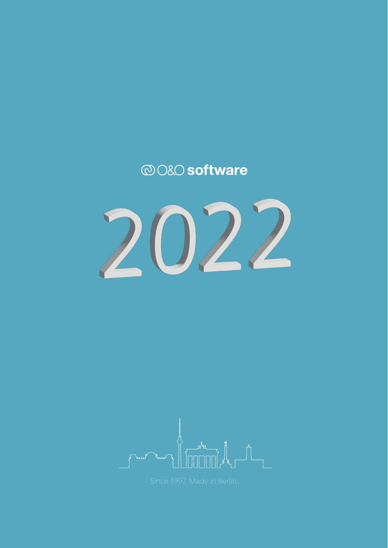# @080 software



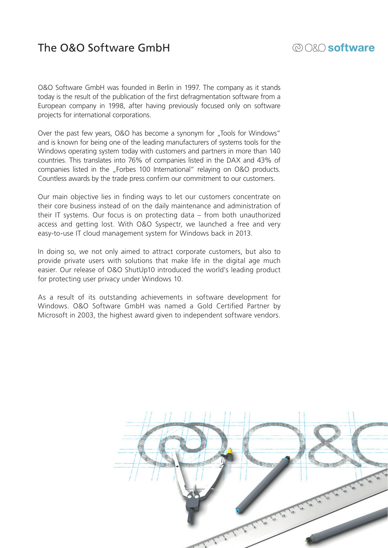#### The O&O Software GmbH The O&O Software GmbH

# @O&O software

O&O Software GmbH was founded in Berlin in 1997. The company as it stands today is the result of the publication of the first defragmentation software from a European company in 1998, after having previously focused only on software projects for international corporations.

Over the past few years, O&O has become a synonym for ...Tools for Windows" and is known for being one of the leading manufacturers of systems tools for the Windows operating system today with customers and partners in more than 140 countries. This translates into 76% of companies listed in the DAX and 43% of companies listed in the "Forbes 100 International" relaying on O&O products. Countless awards by the trade press confirm our commitment to our customers.

Our main objective lies in finding ways to let our customers concentrate on their core business instead of on the daily maintenance and administration of their IT systems. Our focus is on protecting data – from both unauthorized access and getting lost. With O&O Syspectr, we launched a free and very easy-to-use IT cloud management system for Windows back in 2013.

In doing so, we not only aimed to attract corporate customers, but also to provide private users with solutions that make life in the digital age much easier. Our release of O&O ShutUp10 introduced the world's leading product for protecting user privacy under Windows 10.

As a result of its outstanding achievements in software development for Windows. O&O Software GmbH was named a Gold Certified Partner by Microsoft in 2003, the highest award given to independent software vendors.

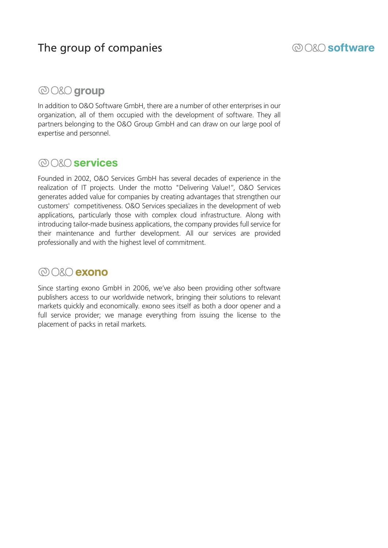# The group of companies

## @O&O software

### **@O&O** group

In addition to O&O Software GmbH, there are a number of other enterprises in our organization, all of them occupied with the development of software. They all partners belonging to the O&O Group GmbH and can draw on our large pool of expertise and personnel.

#### ® O& C services

Founded in 2002, O&O Services GmbH has several decades of experience in the realization of IT projects. Under the motto "Delivering Value!", O&O Services generates added value for companies by creating advantages that strengthen our customers' competitiveness. O&O Services specializes in the development of web applications, particularly those with complex cloud infrastructure. Along with introducing tailor-made business applications, the company provides full service for their maintenance and further development. All our services are provided professionally and with the highest level of commitment.

#### © O&O exono

Since starting exono GmbH in 2006, we've also been providing other software publishers access to our worldwide network, bringing their solutions to relevant markets quickly and economically. exono sees itself as both a door opener and a full service provider; we manage everything from issuing the license to the placement of packs in retail markets.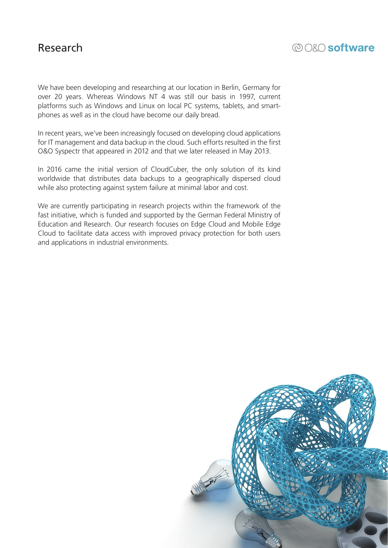#### Research Research

# ® O&O software

We have been developing and researching at our location in Berlin, Germany for over 20 years. Whereas Windows NT 4 was still our basis in 1997, current platforms such as Windows and Linux on local PC systems, tablets, and smartphones as well as in the cloud have become our daily bread.

In recent years, we've been increasingly focused on developing cloud applications for IT management and data backup in the cloud. Such efforts resulted in the first O&O Syspectr that appeared in 2012 and that we later released in May 2013.

In 2016 came the initial version of CloudCuber, the only solution of its kind worldwide that distributes data backups to a geographically dispersed cloud while also protecting against system failure at minimal labor and cost.

We are currently participating in research projects within the framework of the fast initiative, which is funded and supported by the German Federal Ministry of Education and Research. Our research focuses on Edge Cloud and Mobile Edge Cloud to facilitate data access with improved privacy protection for both users and applications in industrial environments.